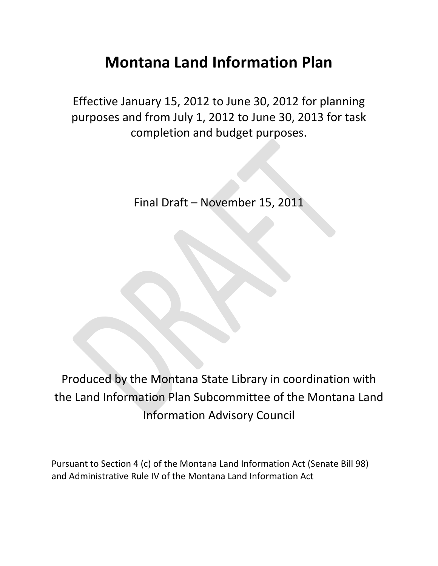# **Montana Land Information Plan**

Effective January 15, 2012 to June 30, 2012 for planning purposes and from July 1, 2012 to June 30, 2013 for task completion and budget purposes.

Final Draft – November 15, 2011

Produced by the Montana State Library in coordination with the Land Information Plan Subcommittee of the Montana Land Information Advisory Council

Pursuant to Section 4 (c) of the Montana Land Information Act (Senate Bill 98) and Administrative Rule IV of the Montana Land Information Act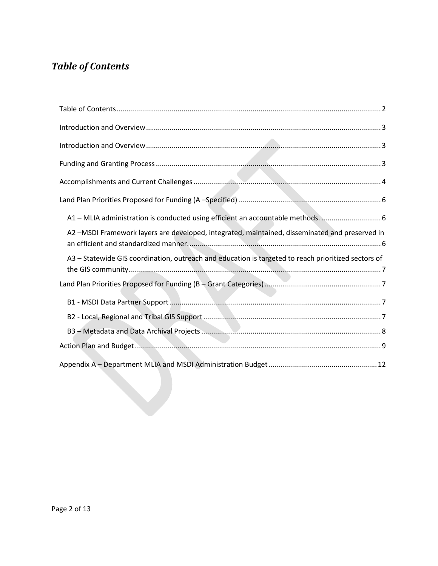## <span id="page-1-0"></span>*Table of Contents*

| A1 - MLIA administration is conducted using efficient an accountable methods.  6                    |
|-----------------------------------------------------------------------------------------------------|
| A2-MSDI Framework layers are developed, integrated, maintained, disseminated and preserved in       |
| A3 - Statewide GIS coordination, outreach and education is targeted to reach prioritized sectors of |
|                                                                                                     |
|                                                                                                     |
|                                                                                                     |
|                                                                                                     |
|                                                                                                     |
|                                                                                                     |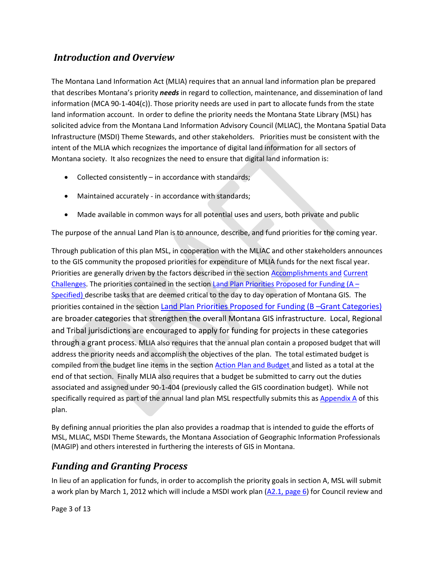## <span id="page-2-0"></span>*Introduction and Overview*

The Montana Land Information Act (MLIA) requires that an annual land information plan be prepared that describes Montana's priority *needs* in regard to collection, maintenance, and dissemination of land information (MCA 90-1-404(c)). Those priority needs are used in part to allocate funds from the state land information account. In order to define the priority needs the Montana State Library (MSL) has solicited advice from the Montana Land Information Advisory Council (MLIAC), the Montana Spatial Data Infrastructure (MSDI) Theme Stewards, and other stakeholders. Priorities must be consistent with the intent of the MLIA which recognizes the importance of digital land information for all sectors of Montana society. It also recognizes the need to ensure that digital land information is:

- Collected consistently in accordance with standards;
- Maintained accurately in accordance with standards;
- Made available in common ways for all potential uses and users, both private and public

The purpose of the annual Land Plan is to announce, describe, and fund priorities for the coming year.

Through publication of this plan MSL, in cooperation with the MLIAC and other stakeholders announces to the GIS community the proposed priorities for expenditure of MLIA funds for the next fiscal year. Priorities are generally driven by the factors described in the section [Accomplishments and](#page-3-0) [Current](#page-3-0)  [Challenges.](#page-3-0) The priorities contained in the section Land Plan Priorities Proposed for Funding  $(A -$ [Specified\)](#page-5-0) describe tasks that are deemed critical to the day to day operation of Montana GIS. The priorities contained in the section [Land Plan Priorities Proposed for Funding \(B –Grant Categories\)](#page-6-1) are broader categories that strengthen the overall Montana GIS infrastructure. Local, Regional and Tribal jurisdictions are encouraged to apply for funding for projects in these categories through a grant process. MLIA also requires that the annual plan contain a proposed budget that will address the priority needs and accomplish the objectives of the plan. The total estimated budget is compiled from the budget line items in the sectio[n Action Plan and Budget](#page-8-0) and listed as a total at the end of that section. Finally MLIA also requires that a budget be submitted to carry out the duties associated and assigned under 90-1-404 (previously called the GIS coordination budget). While not specifically required as part of the annual land plan MSL respectfully submits this as Appendix  $\overline{A}$  of this plan.

By defining annual priorities the plan also provides a roadmap that is intended to guide the efforts of MSL, MLIAC, MSDI Theme Stewards, the Montana Association of Geographic Information Professionals (MAGIP) and others interested in furthering the interests of GIS in Montana.

## <span id="page-2-1"></span>*Funding and Granting Process*

In lieu of an application for funds, in order to accomplish the priority goals in section A, MSL will submit a work plan by March 1, 2012 which will include a MSDI work plan  $(A2.1, page 6)$  for Council review and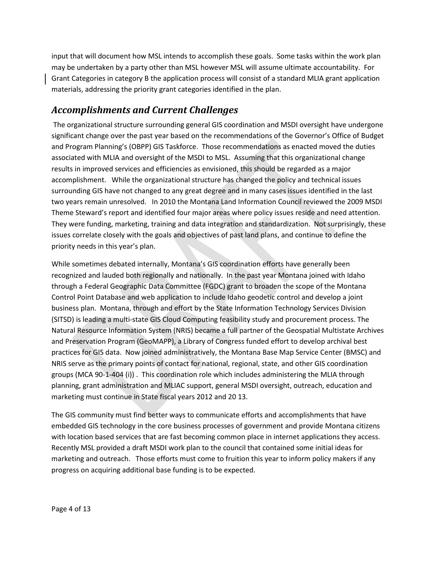input that will document how MSL intends to accomplish these goals. Some tasks within the work plan may be undertaken by a party other than MSL however MSL will assume ultimate accountability. For Grant Categories in category B the application process will consist of a standard MLIA grant application materials, addressing the priority grant categories identified in the plan.

## <span id="page-3-0"></span>*Accomplishments and Current Challenges*

The organizational structure surrounding general GIS coordination and MSDI oversight have undergone significant change over the past year based on the recommendations of the Governor's Office of Budget and Program Planning's (OBPP) GIS Taskforce. Those recommendations as enacted moved the duties associated with MLIA and oversight of the MSDI to MSL. Assuming that this organizational change results in improved services and efficiencies as envisioned, this should be regarded as a major accomplishment. While the organizational structure has changed the policy and technical issues surrounding GIS have not changed to any great degree and in many cases issues identified in the last two years remain unresolved. In 2010 the Montana Land Information Council reviewed the 2009 MSDI Theme Steward's report and identified four major areas where policy issues reside and need attention. They were funding, marketing, training and data integration and standardization. Not surprisingly, these issues correlate closely with the goals and objectives of past land plans, and continue to define the priority needs in this year's plan.

While sometimes debated internally, Montana's GIS coordination efforts have generally been recognized and lauded both regionally and nationally. In the past year Montana joined with Idaho through a Federal Geographic Data Committee (FGDC) grant to broaden the scope of the Montana Control Point Database and web application to include Idaho geodetic control and develop a joint business plan. Montana, through and effort by the State Information Technology Services Division (SITSD) is leading a multi-state GIS Cloud Computing feasibility study and procurement process. The Natural Resource Information System (NRIS) became a full partner of the Geospatial Multistate Archives and Preservation Program (GeoMAPP), a Library of Congress funded effort to develop archival best practices for GIS data. Now joined administratively, the Montana Base Map Service Center (BMSC) and NRIS serve as the primary points of contact for national, regional, state, and other GIS coordination groups (MCA 90-1-404 (i)) . This coordination role which includes administering the MLIA through planning, grant administration and MLIAC support, general MSDI oversight, outreach, education and marketing must continue in State fiscal years 2012 and 20 13.

The GIS community must find better ways to communicate efforts and accomplishments that have embedded GIS technology in the core business processes of government and provide Montana citizens with location based services that are fast becoming common place in internet applications they access. Recently MSL provided a draft MSDI work plan to the council that contained some initial ideas for marketing and outreach. Those efforts must come to fruition this year to inform policy makers if any progress on acquiring additional base funding is to be expected.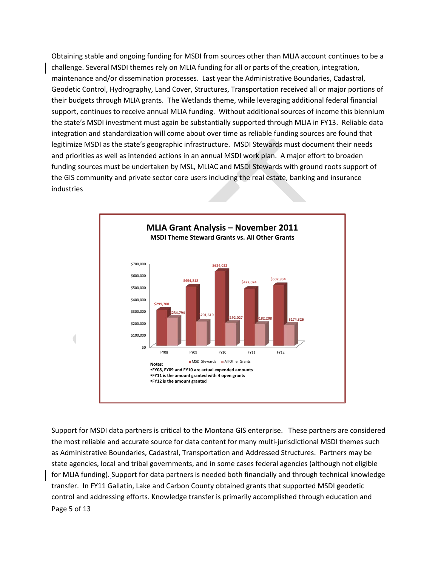Obtaining stable and ongoing funding for MSDI from sources other than MLIA account continues to be a challenge. Several MSDI themes rely on MLIA funding for all or parts of the creation, integration, maintenance and/or dissemination processes. Last year the Administrative Boundaries, Cadastral, Geodetic Control, Hydrography, Land Cover, Structures, Transportation received all or major portions of their budgets through MLIA grants. The Wetlands theme, while leveraging additional federal financial support, continues to receive annual MLIA funding. Without additional sources of income this biennium the state's MSDI investment must again be substantially supported through MLIA in FY13. Reliable data integration and standardization will come about over time as reliable funding sources are found that legitimize MSDI as the state's geographic infrastructure. MSDI Stewards must document their needs and priorities as well as intended actions in an annual MSDI work plan. A major effort to broaden funding sources must be undertaken by MSL, MLIAC and MSDI Stewards with ground roots support of the GIS community and private sector core users including the real estate, banking and insurance industries



Page 5 of 13 Support for MSDI data partners is critical to the Montana GIS enterprise. These partners are considered the most reliable and accurate source for data content for many multi-jurisdictional MSDI themes such as Administrative Boundaries, Cadastral, Transportation and Addressed Structures. Partners may be state agencies, local and tribal governments, and in some cases federal agencies (although not eligible for MLIA funding). Support for data partners is needed both financially and through technical knowledge transfer. In FY11 Gallatin, Lake and Carbon County obtained grants that supported MSDI geodetic control and addressing efforts. Knowledge transfer is primarily accomplished through education and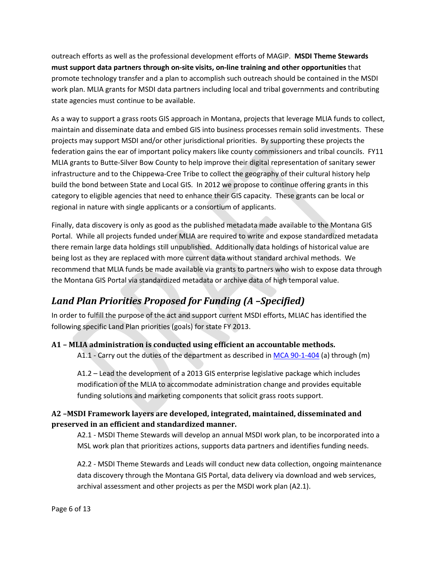outreach efforts as well as the professional development efforts of MAGIP. **MSDI Theme Stewards must support data partners through on-site visits, on-line training and other opportunities** that promote technology transfer and a plan to accomplish such outreach should be contained in the MSDI work plan. MLIA grants for MSDI data partners including local and tribal governments and contributing state agencies must continue to be available.

As a way to support a grass roots GIS approach in Montana, projects that leverage MLIA funds to collect, maintain and disseminate data and embed GIS into business processes remain solid investments. These projects may support MSDI and/or other jurisdictional priorities. By supporting these projects the federation gains the ear of important policy makers like county commissioners and tribal councils. FY11 MLIA grants to Butte-Silver Bow County to help improve their digital representation of sanitary sewer infrastructure and to the Chippewa-Cree Tribe to collect the geography of their cultural history help build the bond between State and Local GIS. In 2012 we propose to continue offering grants in this category to eligible agencies that need to enhance their GIS capacity. These grants can be local or regional in nature with single applicants or a consortium of applicants.

Finally, data discovery is only as good as the published metadata made available to the Montana GIS Portal. While all projects funded under MLIA are required to write and expose standardized metadata there remain large data holdings still unpublished. Additionally data holdings of historical value are being lost as they are replaced with more current data without standard archival methods. We recommend that MLIA funds be made available via grants to partners who wish to expose data through the Montana GIS Portal via standardized metadata or archive data of high temporal value.

## <span id="page-5-0"></span>*Land Plan Priorities Proposed for Funding (A –Specified)*

In order to fulfill the purpose of the act and support current MSDI efforts, MLIAC has identified the following specific Land Plan priorities (goals) for state FY 2013.

#### <span id="page-5-1"></span>**A1 – MLIA administration is conducted using efficient an accountable methods.**

A1.1 - Carry out the duties of the department as described in [MCA 90-1-404](http://data.opi.mt.gov/bills/mca/90/1/90-1-404.htm) (a) through (m)

A1.2 – Lead the development of a 2013 GIS enterprise legislative package which includes modification of the MLIA to accommodate administration change and provides equitable funding solutions and marketing components that solicit grass roots support.

#### <span id="page-5-2"></span>**A2 –MSDI Framework layers are developed, integrated, maintained, disseminated and preserved in an efficient and standardized manner.**

A2.1 - MSDI Theme Stewards will develop an annual MSDI work plan, to be incorporated into a MSL work plan that prioritizes actions, supports data partners and identifies funding needs.

A2.2 - MSDI Theme Stewards and Leads will conduct new data collection, ongoing maintenance data discovery through the Montana GIS Portal, data delivery via download and web services, archival assessment and other projects as per the MSDI work plan (A2.1).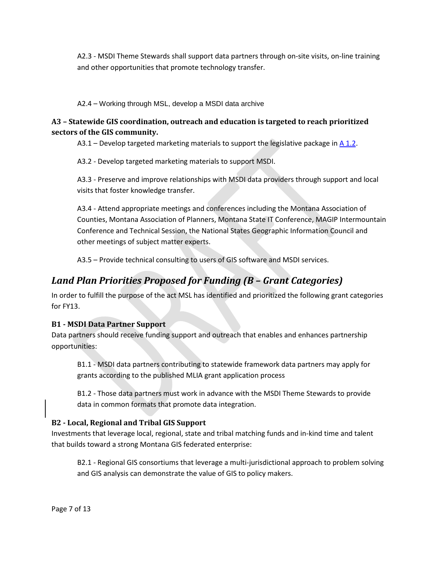A2.3 - MSDI Theme Stewards shall support data partners through on-site visits, on-line training and other opportunities that promote technology transfer.

A2.4 – Working through MSL, develop a MSDI data archive

#### <span id="page-6-0"></span>**A3 – Statewide GIS coordination, outreach and education is targeted to reach prioritized sectors of the GIS community.**

 $A3.1 -$  Develop targeted marketing materials to support the legislative package i[n A 1.2.](#page-5-1)

A3.2 - Develop targeted marketing materials to support MSDI.

A3.3 - Preserve and improve relationships with MSDI data providers through support and local visits that foster knowledge transfer.

A3.4 - Attend appropriate meetings and conferences including the Montana Association of Counties, Montana Association of Planners, Montana State IT Conference, MAGIP Intermountain Conference and Technical Session, the National States Geographic Information Council and other meetings of subject matter experts.

A3.5 – Provide technical consulting to users of GIS software and MSDI services.

## <span id="page-6-1"></span>*Land Plan Priorities Proposed for Funding (B – Grant Categories)*

In order to fulfill the purpose of the act MSL has identified and prioritized the following grant categories for FY13.

#### <span id="page-6-2"></span>**B1 - MSDI Data Partner Support**

Data partners should receive funding support and outreach that enables and enhances partnership opportunities:

B1.1 - MSDI data partners contributing to statewide framework data partners may apply for grants according to the published MLIA grant application process

B1.2 - Those data partners must work in advance with the MSDI Theme Stewards to provide data in common formats that promote data integration.

#### <span id="page-6-3"></span>**B2 - Local, Regional and Tribal GIS Support**

Investments that leverage local, regional, state and tribal matching funds and in-kind time and talent that builds toward a strong Montana GIS federated enterprise:

B2.1 - Regional GIS consortiums that leverage a multi-jurisdictional approach to problem solving and GIS analysis can demonstrate the value of GIS to policy makers.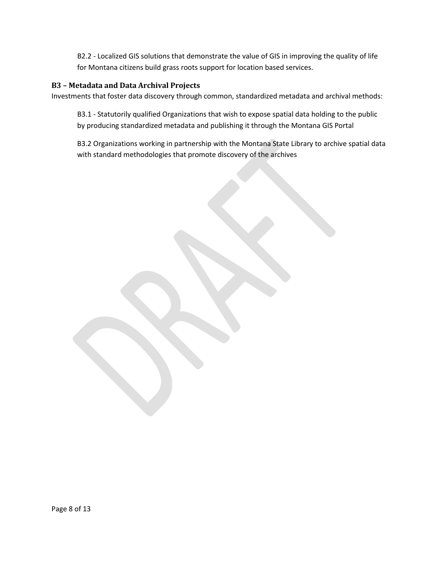B2.2 - Localized GIS solutions that demonstrate the value of GIS in improving the quality of life for Montana citizens build grass roots support for location based services.

#### <span id="page-7-0"></span>**B3 – Metadata and Data Archival Projects**

Investments that foster data discovery through common, standardized metadata and archival methods:

B3.1 - Statutorily qualified Organizations that wish to expose spatial data holding to the public by producing standardized metadata and publishing it through the Montana GIS Portal

B3.2 Organizations working in partnership with the Montana State Library to archive spatial data with standard methodologies that promote discovery of the archives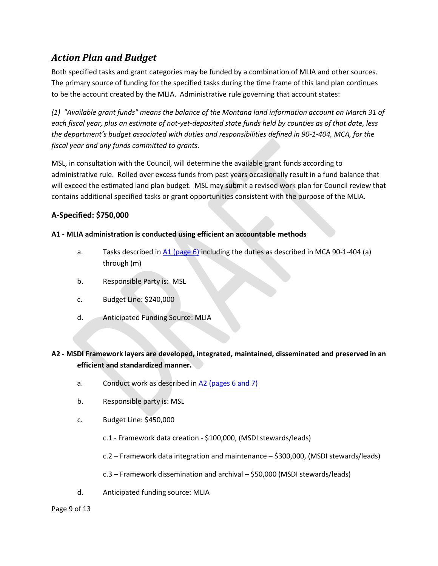## <span id="page-8-0"></span>*Action Plan and Budget*

Both specified tasks and grant categories may be funded by a combination of MLIA and other sources. The primary source of funding for the specified tasks during the time frame of this land plan continues to be the account created by the MLIA. Administrative rule governing that account states:

*(1) "Available grant funds" means the balance of the Montana land information account on March 31 of each fiscal year, plus an estimate of not-yet-deposited state funds held by counties as of that date, less the department's budget associated with duties and responsibilities defined in 90-1-404, MCA, for the fiscal year and any funds committed to grants.*

MSL, in consultation with the Council, will determine the available grant funds according to administrative rule. Rolled over excess funds from past years occasionally result in a fund balance that will exceed the estimated land plan budget. MSL may submit a revised work plan for Council review that contains additional specified tasks or grant opportunities consistent with the purpose of the MLIA.

#### **A-Specified: \$750,000**

#### **A1 - MLIA administration is conducted using efficient an accountable methods**

- a. Tasks described in A1 [\(page 6\)](#page-5-1) including the duties as described in MCA 90-1-404 (a) through (m)
- b. Responsible Party is: MSL
- c. Budget Line: \$240,000
- d. Anticipated Funding Source: MLIA

#### **A2 - MSDI Framework layers are developed, integrated, maintained, disseminated and preserved in an efficient and standardized manner.**

- a. Conduct work as described in  $A2$  (pages 6 and 7)
- b. Responsible party is: MSL
- c. Budget Line: \$450,000
	- c.1 Framework data creation \$100,000, (MSDI stewards/leads)
	- c.2 Framework data integration and maintenance \$300,000, (MSDI stewards/leads)
	- c.3 Framework dissemination and archival \$50,000 (MSDI stewards/leads)
- d. Anticipated funding source: MLIA

#### Page 9 of 13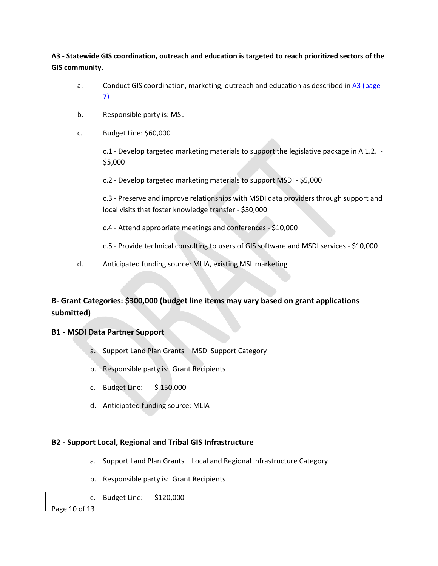**A3 - Statewide GIS coordination, outreach and education is targeted to reach prioritized sectors of the GIS community.**

- a. Conduct GIS coordination, marketing, outreach and education as described i[n A3 \(page](#page-6-0)  [7\)](#page-6-0)
- b. Responsible party is: MSL
- c. Budget Line: \$60,000

c.1 - Develop targeted marketing materials to support the legislative package in A 1.2. - \$5,000

c.2 - Develop targeted marketing materials to support MSDI - \$5,000

c.3 - Preserve and improve relationships with MSDI data providers through support and local visits that foster knowledge transfer - \$30,000

- c.4 Attend appropriate meetings and conferences \$10,000
- c.5 Provide technical consulting to users of GIS software and MSDI services \$10,000
- d. Anticipated funding source: MLIA, existing MSL marketing

#### **B- Grant Categories: \$300,000 (budget line items may vary based on grant applications submitted)**

#### **B1 - MSDI Data Partner Support**

- a. Support Land Plan Grants MSDI Support Category
- b. Responsible party is: Grant Recipients
- c. Budget Line: \$ 150,000
- d. Anticipated funding source: MLIA

#### **B2 - Support Local, Regional and Tribal GIS Infrastructure**

- a. Support Land Plan Grants Local and Regional Infrastructure Category
- b. Responsible party is: Grant Recipients
- c. Budget Line: \$120,000

Page 10 of 13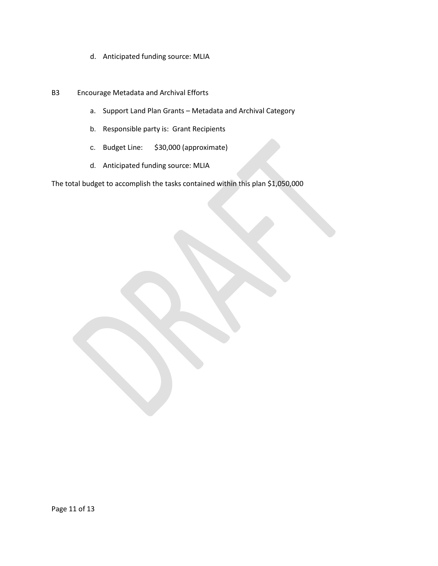- d. Anticipated funding source: MLIA
- B3 Encourage Metadata and Archival Efforts
	- a. Support Land Plan Grants Metadata and Archival Category
	- b. Responsible party is: Grant Recipients
	- c. Budget Line: \$30,000 (approximate)
	- d. Anticipated funding source: MLIA

The total budget to accomplish the tasks contained within this plan \$1,050,000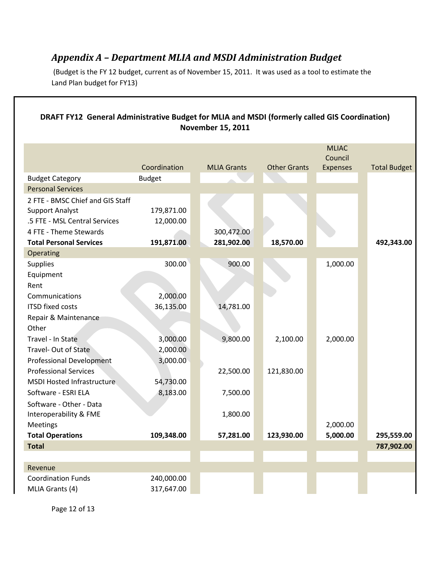## <span id="page-11-0"></span>*Appendix A – Department MLIA and MSDI Administration Budget*

(Budget is the FY 12 budget, current as of November 15, 2011. It was used as a tool to estimate the Land Plan budget for FY13)

| DRAFT FY12 General Administrative Budget for MLIA and MSDI (formerly called GIS Coordination)<br><b>November 15, 2011</b> |               |                    |                     |                 |                     |  |
|---------------------------------------------------------------------------------------------------------------------------|---------------|--------------------|---------------------|-----------------|---------------------|--|
|                                                                                                                           |               |                    |                     | <b>MLIAC</b>    |                     |  |
|                                                                                                                           |               |                    |                     | Council         |                     |  |
|                                                                                                                           | Coordination  | <b>MLIA Grants</b> | <b>Other Grants</b> | <b>Expenses</b> | <b>Total Budget</b> |  |
| <b>Budget Category</b>                                                                                                    | <b>Budget</b> |                    |                     |                 |                     |  |
| <b>Personal Services</b>                                                                                                  |               |                    |                     |                 |                     |  |
| 2 FTE - BMSC Chief and GIS Staff                                                                                          |               |                    |                     |                 |                     |  |
| <b>Support Analyst</b>                                                                                                    | 179,871.00    |                    |                     |                 |                     |  |
| .5 FTE - MSL Central Services                                                                                             | 12,000.00     |                    |                     |                 |                     |  |
| 4 FTE - Theme Stewards                                                                                                    |               | 300,472.00         |                     |                 |                     |  |
| <b>Total Personal Services</b>                                                                                            | 191,871.00    | 281,902.00         | 18,570.00           |                 | 492,343.00          |  |
| Operating                                                                                                                 |               |                    |                     |                 |                     |  |
| <b>Supplies</b>                                                                                                           | 300.00        | 900.00             |                     | 1,000.00        |                     |  |
| Equipment                                                                                                                 |               |                    |                     |                 |                     |  |
| Rent                                                                                                                      |               |                    |                     |                 |                     |  |
| Communications                                                                                                            | 2,000.00      |                    |                     |                 |                     |  |
| <b>ITSD fixed costs</b>                                                                                                   | 36,135.00     | 14,781.00          |                     |                 |                     |  |
| Repair & Maintenance                                                                                                      |               |                    |                     |                 |                     |  |
| Other                                                                                                                     |               |                    |                     |                 |                     |  |
| Travel - In State                                                                                                         | 3,000.00      | 9,800.00           | 2,100.00            | 2,000.00        |                     |  |
| Travel-Out of State                                                                                                       | 2,000.00      |                    |                     |                 |                     |  |
| <b>Professional Development</b>                                                                                           | 3,000.00      |                    |                     |                 |                     |  |
| <b>Professional Services</b>                                                                                              |               | 22,500.00          | 121,830.00          |                 |                     |  |
| <b>MSDI Hosted Infrastructure</b>                                                                                         | 54,730.00     |                    |                     |                 |                     |  |
| Software - ESRI ELA                                                                                                       | 8,183.00      | 7,500.00           |                     |                 |                     |  |
| Software - Other - Data                                                                                                   |               |                    |                     |                 |                     |  |
| Interoperability & FME                                                                                                    |               | 1,800.00           |                     |                 |                     |  |
| Meetings                                                                                                                  |               |                    |                     | 2,000.00        |                     |  |
| <b>Total Operations</b>                                                                                                   | 109,348.00    | 57,281.00          | 123,930.00          | 5,000.00        | 295,559.00          |  |
| <b>Total</b>                                                                                                              |               |                    |                     |                 | 787,902.00          |  |
|                                                                                                                           |               |                    |                     |                 |                     |  |
| Revenue                                                                                                                   |               |                    |                     |                 |                     |  |
| <b>Coordination Funds</b>                                                                                                 | 240,000.00    |                    |                     |                 |                     |  |
| MLIA Grants (4)                                                                                                           | 317,647.00    |                    |                     |                 |                     |  |
|                                                                                                                           |               |                    |                     |                 |                     |  |

Page 12 of 13